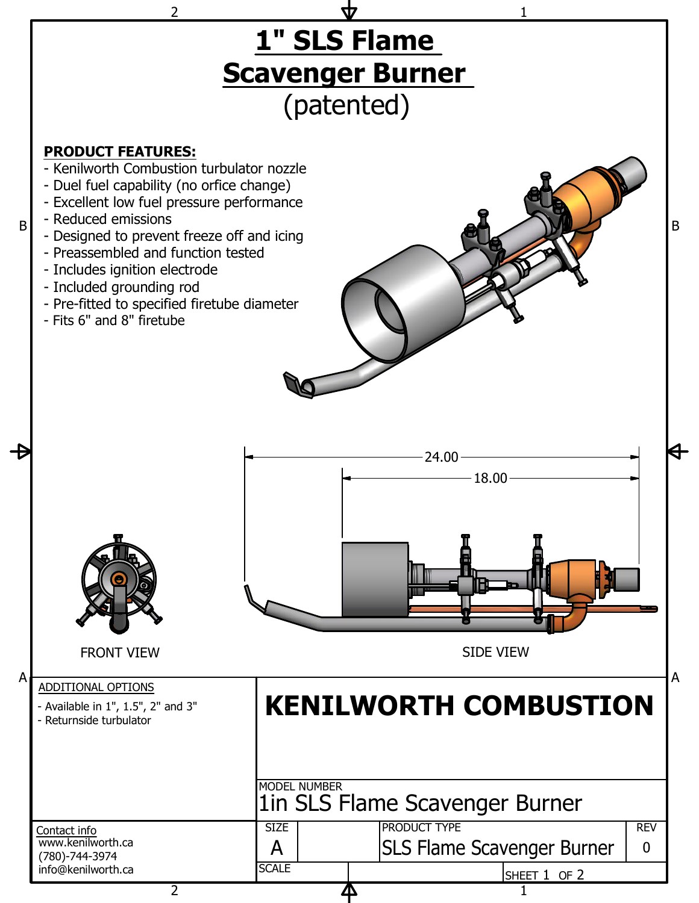